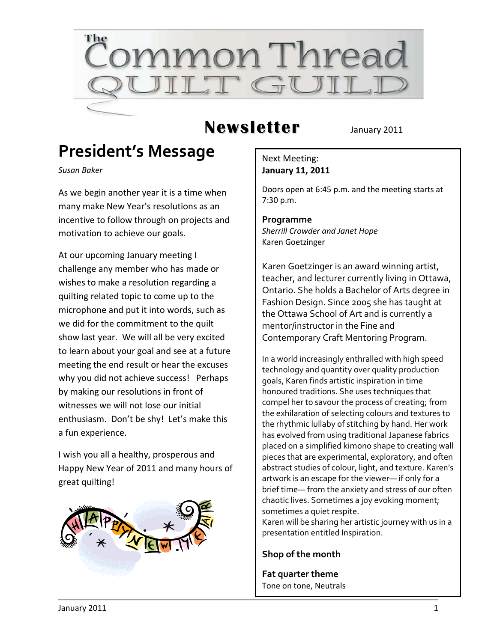

## **Newsletter** January 2011

## **President's Message**

*Susan Baker*

As we begin another year it is a time when many make New Year's resolutions as an incentive to follow through on projects and motivation to achieve our goals.

At our upcoming January meeting I challenge any member who has made or wishes to make a resolution regarding a quilting related topic to come up to the microphone and put it into words, such as we did for the commitment to the quilt show last year. We will all be very excited to learn about your goal and see at a future meeting the end result or hear the excuses why you did not achieve success! Perhaps by making our resolutions in front of witnesses we will not lose our initial enthusiasm. Don't be shy! Let's make this a fun experience.

I wish you all a healthy, prosperous and Happy New Year of 2011 and many hours of great quilting!



#### Next Meeting: **January 11, 2011**

Doors open at 6:45 p.m. and the meeting starts at 7:30 p.m.

**Programme** *Sherrill Crowder and Janet Hope* Karen Goetzinger

Karen Goetzinger is an award winning artist, teacher, and lecturer currently living in Ottawa, Ontario. She holds a Bachelor of Arts degree in Fashion Design. Since 2005 she has taught at the Ottawa School of Art and is currently a mentor/instructor in the Fine and Contemporary Craft Mentoring Program.

In a world increasingly enthralled with high speed technology and quantity over quality production goals, Karen finds artistic inspiration in time honoured traditions. She uses techniques that compel her to savour the process of creating; from the exhilaration of selecting colours and textures to the rhythmic lullaby of stitching by hand. Her work has evolved from using traditional Japanese fabrics placed on a simplified kimono shape to creating wall pieces that are experimental, exploratory, and often abstract studies of colour, light, and texture. Karen's artwork is an escape for the viewer— if only for a brief time— from the anxiety and stress of our often chaotic lives. Sometimes a joy evoking moment; sometimes a quiet respite.

Karen will be sharing her artistic journey with us in a presentation entitled Inspiration.

#### **Shop of the month**

**Fat quarter theme** Tone on tone, Neutrals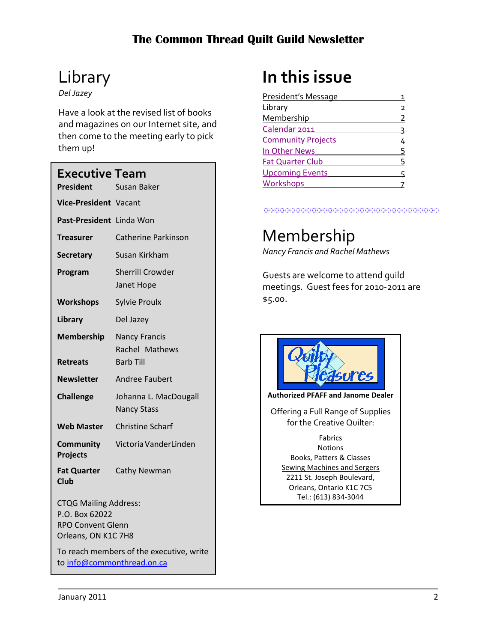# Library

*Del Jazey*

Have a look at the revised list of books and magazines on our Internet site, and then come to the meeting early to pick them up!

| Executive Team                                                                                                                                |                                             |  |
|-----------------------------------------------------------------------------------------------------------------------------------------------|---------------------------------------------|--|
| <b>President</b>                                                                                                                              | <b>Susan Baker</b>                          |  |
| <b>Vice-President Vacant</b>                                                                                                                  |                                             |  |
| Past-President Linda Won                                                                                                                      |                                             |  |
| <b>Treasurer</b>                                                                                                                              | <b>Catherine Parkinson</b>                  |  |
| <b>Secretary</b>                                                                                                                              | Susan Kirkham                               |  |
| Program                                                                                                                                       | <b>Sherrill Crowder</b><br>Janet Hope       |  |
| <b>Workshops</b>                                                                                                                              | <b>Sylvie Proulx</b>                        |  |
| Library                                                                                                                                       | Del Jazey                                   |  |
| Membership                                                                                                                                    | <b>Nancy Francis</b><br>Rachel Mathews      |  |
| <b>Retreats</b>                                                                                                                               | <b>Barb Till</b>                            |  |
| <b>Newsletter</b>                                                                                                                             | <b>Andree Faubert</b>                       |  |
| <b>Challenge</b>                                                                                                                              | Johanna L. MacDougall<br><b>Nancy Stass</b> |  |
| <b>Web Master</b>                                                                                                                             | <b>Christine Scharf</b>                     |  |
| Community<br>Projects                                                                                                                         | Victoria VanderLinden                       |  |
| <b>Fat Quarter</b><br><b>Club</b>                                                                                                             | Cathy Newman                                |  |
| <b>CTQG Mailing Address:</b><br>P.O. Box 62022<br><b>RPO Convent Glenn</b><br>Orleans, ON K1C 7H8<br>To reach members of the executive, write |                                             |  |
| to info@commonthread.on.ca                                                                                                                    |                                             |  |

# **In this issue**

| President's Message       |   |
|---------------------------|---|
| Library                   | 2 |
| Membership                | 2 |
| Calendar 2011             |   |
| <b>Community Projects</b> |   |
| In Other News             | 5 |
| <b>Fat Quarter Club</b>   | 5 |
| <b>Upcoming Events</b>    |   |
| Workshops                 |   |
|                           |   |

## Membership

*Nancy Francis and Rachel Mathews*

Guests are welcome to attend guild meetings. Guest fees for 2010-2011 are \$5.00.



**Authorized PFAFF and Janome Dealer**

Offering a Full Range of Supplies for the Creative Quilter:

Fabrics **Notions** Books, Patters & Classes Sewing Machines and Sergers 2211 St. Joseph Boulevard, Orleans, Ontario K1C 7C5 Tel.: (613) 834-3044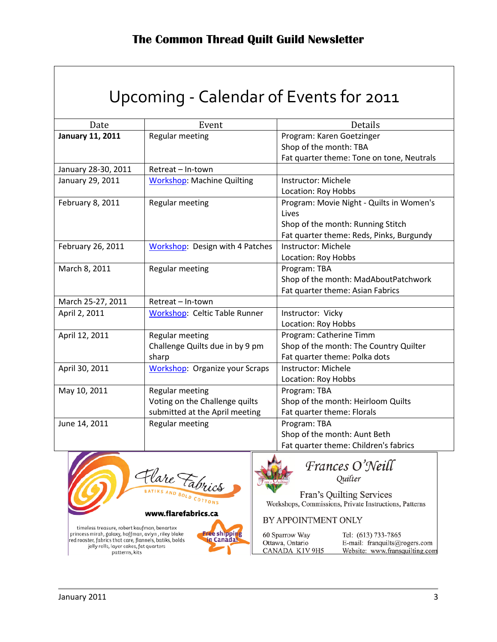<span id="page-2-0"></span>

| Upcoming - Calendar of Events for 2011 |                                                                                     |                                                                                                                                    |  |
|----------------------------------------|-------------------------------------------------------------------------------------|------------------------------------------------------------------------------------------------------------------------------------|--|
| Date                                   | Event                                                                               | Details                                                                                                                            |  |
| <b>January 11, 2011</b>                | Regular meeting                                                                     | Program: Karen Goetzinger<br>Shop of the month: TBA<br>Fat quarter theme: Tone on tone, Neutrals                                   |  |
| January 28-30, 2011                    | Retreat - In-town                                                                   |                                                                                                                                    |  |
| January 29, 2011                       | <b>Workshop: Machine Quilting</b>                                                   | Instructor: Michele<br>Location: Roy Hobbs                                                                                         |  |
| February 8, 2011                       | Regular meeting                                                                     | Program: Movie Night - Quilts in Women's<br>Lives<br>Shop of the month: Running Stitch<br>Fat quarter theme: Reds, Pinks, Burgundy |  |
| February 26, 2011                      | Workshop: Design with 4 Patches                                                     | Instructor: Michele<br>Location: Roy Hobbs                                                                                         |  |
| March 8, 2011                          | Regular meeting                                                                     | Program: TBA<br>Shop of the month: MadAboutPatchwork<br>Fat quarter theme: Asian Fabrics                                           |  |
| March 25-27, 2011                      | Retreat - In-town                                                                   |                                                                                                                                    |  |
| April 2, 2011                          | <b>Workshop: Celtic Table Runner</b>                                                | Instructor: Vicky<br>Location: Roy Hobbs                                                                                           |  |
| April 12, 2011                         | Regular meeting<br>Challenge Quilts due in by 9 pm<br>sharp                         | Program: Catherine Timm<br>Shop of the month: The Country Quilter<br>Fat quarter theme: Polka dots                                 |  |
| April 30, 2011                         | Workshop: Organize your Scraps                                                      | Instructor: Michele<br>Location: Roy Hobbs                                                                                         |  |
| May 10, 2011                           | Regular meeting<br>Voting on the Challenge quilts<br>submitted at the April meeting | Program: TBA<br>Shop of the month: Heirloom Quilts<br>Fat quarter theme: Florals                                                   |  |
| June 14, 2011                          | Regular meeting                                                                     | Program: TBA<br>Shop of the month: Aunt Beth<br>Fat quarter theme: Children's fabrics                                              |  |





Frances O'Neill

Fran's Quilting Services Workshops, Commissions, Private Instructions, Patterns

BY APPOINTMENT ONLY

| 60 Sparrow Way  | Tel: (613) 733-7865            |
|-----------------|--------------------------------|
| Ottawa, Ontario | E-mail: franquilts@rogers.com  |
| CANADA K1V 9H5  | Website: www.fransquilting.com |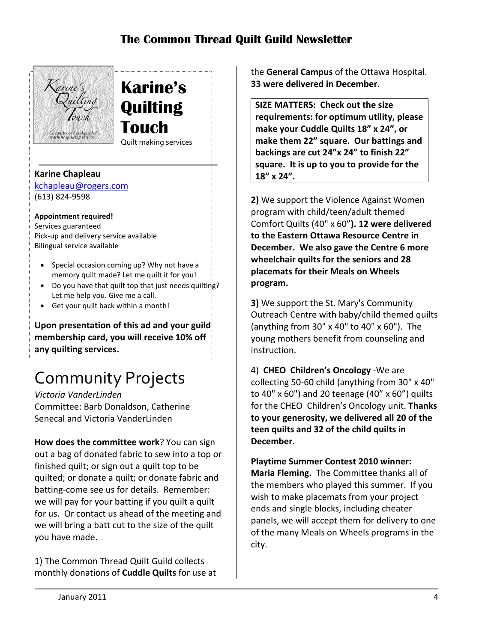

**Karine's Quilting Touch** Quilt making services

#### **Karine Chapleau**

[kchapleau@rogers.com](mailto:kchapleau@rogers.com) (613) 824-9598

#### **Appointment required!**

Services guaranteed Pick-up and delivery service available Bilingual service available

• Special occasion coming up? Why not have a memory quilt made? Let me quilt it for you!

 $\cdot$ 

- Do you have that quilt top that just needs quilting? Let me help you. Give me a call.
- Get your quilt back within a month!

Upon presentation of this ad and your guild **membership card, you will receive 10% off any quilting services.**

# <span id="page-3-0"></span>Community Projects

*Victoria VanderLinden* Committee: Barb Donaldson, Catherine Senecal and Victoria VanderLinden

**How does the committee work**? You can sign out a bag of donated fabric to sew into a top or finished quilt; or sign out a quilt top to be quilted; or donate a quilt; or donate fabric and batting-come see us for details. Remember: we will pay for your batting if you quilt a quilt for us. Or contact us ahead of the meeting and we will bring a batt cut to the size of the quilt you have made.

1) The Common Thread Quilt Guild collects monthly donations of **Cuddle Quilts** for use at the **General Campus** of the Ottawa Hospital. **33 were delivered in December**.

**SIZE MATTERS: Check out the size requirements: for optimum utility, please make your Cuddle Quilts 18" x 24", or make them 22" square. Our battings and backings are cut 24"x 24" to finish 22" square. It is up to you to provide for the 18" x 24".**

**2)** We support the Violence Against Women program with child/teen/adult themed Comfort Quilts (40" x 60"**). 12 were delivered to the Eastern Ottawa Resource Centre in December. We also gave the Centre 6 more wheelchair quilts for the seniors and 28 placemats for their Meals on Wheels program.**

**3)** We support the St. Mary's Community Outreach Centre with baby/child themed quilts (anything from 30" x 40" to 40" x 60"). The young mothers benefit from counseling and instruction.

4) **CHEO Children's Oncology** -We are collecting 50-60 child (anything from 30" x 40" to 40" x 60") and 20 teenage (40" x 60") quilts for the CHEO Children's Oncology unit. **Thanks to your generosity, we delivered all 20 of the teen quilts and 32 of the child quilts in December.**

**Playtime Summer Contest 2010 winner: Maria Fleming.** The Committee thanks all of the members who played this summer. If you wish to make placemats from your project ends and single blocks, including cheater panels, we will accept them for delivery to one of the many Meals on Wheels programs in the city.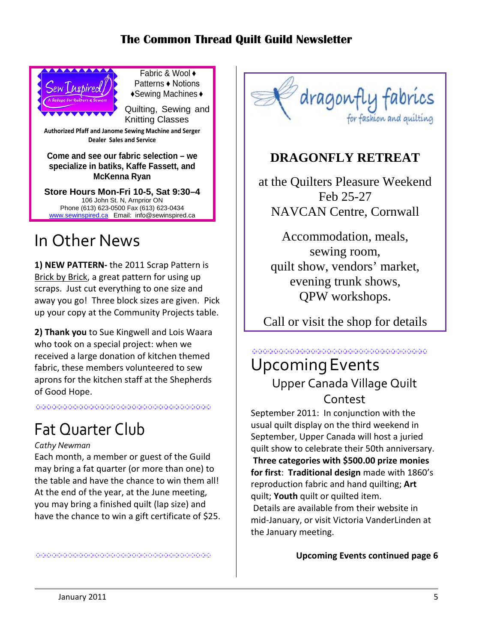

Fabric & Wool ♦ Patterns ♦ Notions ♦Sewing Machines ♦

Quilting, Sewing and Knitting Classes

**Authorized Pfaff and Janome Sewing Machine and Serger Dealer Sales and Service**

**Come and see our fabric selection – we specialize in batiks, Kaffe Fassett, and McKenna Ryan**

**Store Hours Mon-Fri 10-5, Sat 9:30–4** 106 John St. N, Arnprior ON Phone (613) 623-0500 Fax (613) 623-0434 [www.sewinspired.ca](http://www.sewinspired.ca/) Email: info@sewinspired.ca

## <span id="page-4-0"></span>In Other News

**1) NEW PATTERN-** the 2011 Scrap Pattern is Brick by Brick, a great pattern for using up scraps. Just cut everything to one size and away you go! Three block sizes are given. Pick up your copy at the Community Projects table.

**2) Thank you** to Sue Kingwell and Lois Waara who took on a special project: when we received a large donation of kitchen themed fabric, these members volunteered to sew aprons for the kitchen staff at the Shepherds of Good Hope.

<span id="page-4-1"></span>

## Fat Quarter Club

#### *Cathy Newman*

Each month, a member or guest of the Guild may bring a fat quarter (or more than one) to the table and have the chance to win them all! At the end of the year, at the June meeting, you may bring a finished quilt (lap size) and have the chance to win a gift certificate of \$25.



### **DRAGONFLY RETREAT**

at the Quilters Pleasure Weekend Feb 25-27 NAVCAN Centre, Cornwall

Accommodation, meals, sewing room, quilt show, vendors' market, evening trunk shows, QPW workshops.

Call or visit the shop for details

#### <span id="page-4-2"></span>UpcomingEvents Upper Canada Village Quilt Contest in dia 1970 metatra. Ny haavon'ny toerana ara-daharampehintany ary ara-daharanjarahasin'ilay kaominina dia 400<br>Ny faritr'ora dia GMT+1. Ny INSEE dia kaominina mpikambana amin'ny fivondronan-kaominina dia 40.00000. Ilay ka

September 2011: In conjunction with the usual quilt display on the third weekend in September, Upper Canada will host a juried quilt show to celebrate their 50th anniversary. **Three categories with \$500.00 prize monies for first**: **Traditional design** made with 1860's reproduction fabric and hand quilting; **Art** quilt; **Youth** quilt or quilted item. Details are available from their website in mid-January, or visit Victoria VanderLinden at the January meeting.

**Upcoming Events continued page 6**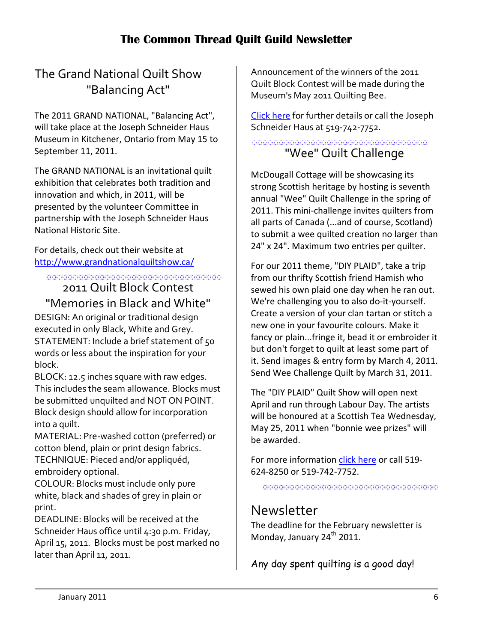### The Grand National Quilt Show "Balancing Act"

The 2011 GRAND NATIONAL, "Balancing Act", will take place at the Joseph Schneider Haus Museum in Kitchener, Ontario from May 15 to September 11, 2011.

The GRAND NATIONAL is an invitational quilt exhibition that celebrates both tradition and innovation and which, in 2011, will be presented by the volunteer Committee in partnership with the Joseph Schneider Haus National Historic Site.

For details, check out their website at <http://www.grandnationalquiltshow.ca/>

000000000000000000000000000000000000

2011 Quilt Block Contest "Memories in Black and White"

DESIGN: An original or traditional design executed in only Black, White and Grey. STATEMENT: Include a brief statement of 50 words or less about the inspiration for your block.

BLOCK: 12.5 inches square with raw edges. This includes the seam allowance. Blocks must be submitted unquilted and NOT ON POINT. Block design should allow for incorporation into a quilt.

MATERIAL: Pre-washed cotton (preferred) or cotton blend, plain or print design fabrics. TECHNIQUE: Pieced and/or appliquéd, embroidery optional.

COLOUR: Blocks must include only pure white, black and shades of grey in plain or print.

DEADLINE: Blocks will be received at the Schneider Haus office until 4:30 p.m. Friday, April 15, 2011. Blocks must be post marked no later than April 11, 2011.

Announcement of the winners of the 2011 Quilt Block Contest will be made during the Museum's May 2011 Quilting Bee.

[Click here](http://www.region.waterloo.on.ca/web/region.nsf/8f9c046037662cd985256af000711418/85AFD0819A426D3885256B1F00807E1A?OpenDocument) for further details or call the Joseph Schneider Haus at 519-742-7752.

<u> 1999 - Johann Johnson, martin amerikan</u> "Wee" Quilt Challenge

McDougall Cottage will be showcasing its strong Scottish heritage by hosting is seventh annual "Wee" Quilt Challenge in the spring of 2011. This mini-challenge invites quilters from all parts of Canada (...and of course, Scotland) to submit a wee quilted creation no larger than 24" x 24". Maximum two entries per quilter.

For our 2011 theme, "DIY PLAID", take a trip from our thrifty Scottish friend Hamish who sewed his own plaid one day when he ran out. We're challenging you to also do-it-yourself. Create a version of your clan tartan or stitch a new one in your favourite colours. Make it fancy or plain...fringe it, bead it or embroider it but don't forget to quilt at least some part of it. Send images & entry form by March 4, 2011. Send Wee Challenge Quilt by March 31, 2011.

The "DIY PLAID" Quilt Show will open next April and run through Labour Day. The artists will be honoured at a Scottish Tea Wednesday, May 25, 2011 when "bonnie wee prizes" will be awarded.

For more information [click here](http://www.region.waterloo.on.ca/web/region.nsf/8f9c046037662cd985256af000711418/8E26CB459AD1782E85256DAA00676091?OpenDocument) or call 519-624-8250 or 519-742-7752.

in die beste die die die beste die beste deur die beste die beste die beste die beste die beste die beste die

### Newsletter

The deadline for the February newsletter is Monday, January 24<sup>th</sup> 2011.

Any day spent quilting is a good day!